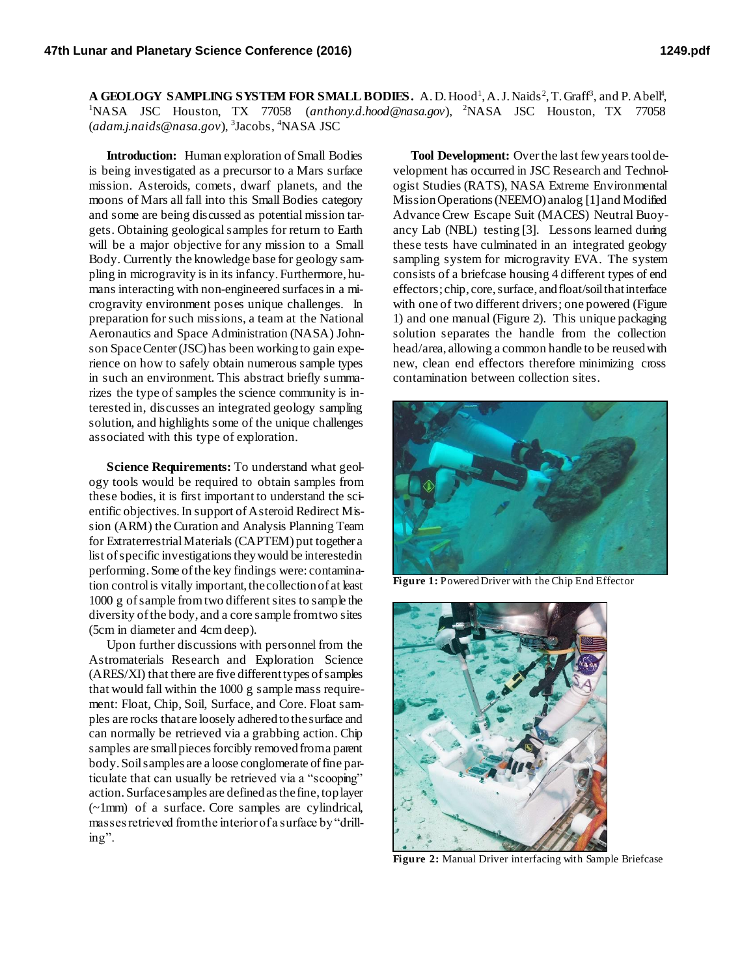$\bf{A}$  GEOLOGY SAMPLING SYSTEM FOR SMALL BODIES. A.D. Hood<sup>1</sup>, A.J. Naids<sup>2</sup>, T. Graff<sup>3</sup>, and P. Abell<sup>4</sup>, <sup>1</sup>NASA JSC Houston, TX 77058 (*anthony.d.hood@nasa.gov*), <sup>2</sup>NASA JSC Houston, TX 77058 (*adam.j.naids@nasa.gov*), <sup>3</sup> Jacobs, <sup>4</sup>NASA JSC

**Introduction:** Human exploration of Small Bodies is being investigated as a precursor to a Mars surface mission. Asteroids, comets, dwarf planets, and the moons of Mars all fall into this Small Bodies category and some are being discussed as potential mission targets. Obtaining geological samples for return to Earth will be a major objective for any mission to a Small Body. Currently the knowledge base for geology sampling in microgravity is in its infancy. Furthermore, humans interacting with non-engineered surfaces in a microgravity environment poses unique challenges. In preparation for such missions, a team at the National Aeronautics and Space Administration (NASA) Johnson Space Center (JSC) has been working to gain experience on how to safely obtain numerous sample types in such an environment. This abstract briefly summarizes the type of samples the science community is interested in, discusses an integrated geology sampling solution, and highlights some of the unique challenges associated with this type of exploration.

**Science Requirements:** To understand what geology tools would be required to obtain samples from these bodies, it is first important to understand the scientific objectives. In support of Asteroid Redirect Mission (ARM) the Curation and Analysis Planning Team for Extraterrestrial Materials (CAPTEM) put together a list of specific investigations they would be interested in performing.Some of the key findings were: contamination control is vitally important, the collection of at least 1000 g of sample from two different sites to sample the diversity of the body, and a core sample from two sites (5cm in diameter and 4cm deep).

Upon further discussions with personnel from the Astromaterials Research and Exploration Science (ARES/XI) that there are five different types of samples that would fall within the 1000 g sample mass requirement: Float, Chip, Soil, Surface, and Core. Float samples are rocks that are loosely adhered to the surface and can normally be retrieved via a grabbing action. Chip samples are small pieces forcibly removed from a parent body. Soil samples are a loose conglomerate of fine particulate that can usually be retrieved via a "scooping" action. Surface samples are defined as the fine, top layer (~1mm) of a surface. Core samples are cylindrical, masses retrieved from the interior of a surface by "drilling".

Tool Development: Over the last few years tool development has occurred in JSC Research and Technologist Studies (RATS), NASA Extreme Environmental Mission Operations (NEEMO) analog [1] and Modified Advance Crew Escape Suit (MACES) Neutral Buoyancy Lab (NBL) testing [3]. Lessons learned during these tests have culminated in an integrated geology sampling system for microgravity EVA. The system consists of a briefcase housing 4 different types of end effectors; chip, core, surface, and float/soil that interface with one of two different drivers; one powered (Figure 1) and one manual (Figure 2). This unique packaging solution separates the handle from the collection head/area, allowing a common handle to be reusedwith new, clean end effectors therefore minimizing cross contamination between collection sites.



**Figure 1:** Powered Driver with the Chip End Effector



**Figure 2:** Manual Driver interfacing with Sample Briefcase